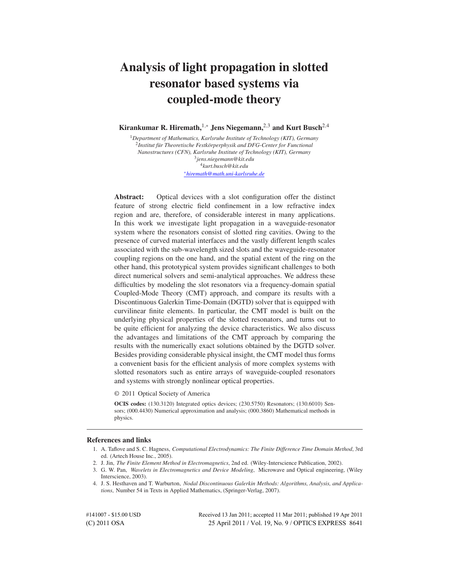# **Analysis of light propagation in slotted resonator based systems via coupled-mode theory**

**Kirankumar R. Hiremath,**1,<sup>∗</sup> **Jens Niegemann,**2,<sup>3</sup> **and Kurt Busch**2,<sup>4</sup>

<sup>1</sup>*Department of Mathematics, Karlsruhe Institute of Technology (KIT), Germany*  $^2$ Institut für Theoretische Festkörperphysik and DFG-Center for Functional *Nanostructures (CFN), Karlsruhe Institute of Technology (KIT), Germany* 3 *jens.niegemann@kit.edu* 4 *kurt.busch@kit.edu* ∗*hiremath@math.uni-karlsruhe.de*

**Abstract:** Optical devices with a slot configuration offer the distinct feature of strong electric field confinement in a low refractive index region and are, therefore, of considerable interest in many applications. In this work we investigate light propagation in a waveguide-resonator system where the resonators consist of slotted ring cavities. Owing to the presence of curved material interfaces and the vastly different length scales associated with the sub-wavelength sized slots and the waveguide-resonator coupling regions on the one hand, and the spatial extent of the ring on the other hand, this prototypical system provides significant challenges to both direct numerical solvers and semi-analytical approaches. We address these difficulties by modeling the slot resonators via a frequency-domain spatial Coupled-Mode Theory (CMT) approach, and compare its results with a Discontinuous Galerkin Time-Domain (DGTD) solver that is equipped with curvilinear finite elements. In particular, the CMT model is built on the underlying physical properties of the slotted resonators, and turns out to be quite efficient for analyzing the device characteristics. We also discuss the advantages and limitations of the CMT approach by comparing the results with the numerically exact solutions obtained by the DGTD solver. Besides providing considerable physical insight, the CMT model thus forms a convenient basis for the efficient analysis of more complex systems with slotted resonators such as entire arrays of waveguide-coupled resonators and systems with strongly nonlinear optical properties.

© 2011 Optical Society of America

**OCIS codes:** (130.3120) Integrated optics devices; (230.5750) Resonators; (130.6010) Sensors; (000.4430) Numerical approximation and analysis; (000.3860) Mathematical methods in physics.

#### **References and links**

<sup>1.</sup> A. Taflove and S. C. Hagness, *Computational Electrodynamics: The Finite Difference Time Domain Method*, 3rd ed. (Artech House Inc., 2005).

<sup>2.</sup> J. Jin, *The Finite Element Method in Electromagnetics*, 2nd ed. (Wiley-Interscience Publication, 2002).

<sup>3.</sup> G. W. Pan, *Wavelets in Electromagnetics and Device Modeling*, Microwave and Optical engineering, (Wiley Interscience, 2003).

<sup>4.</sup> J. S. Hesthaven and T. Warburton, *Nodal Discontinuous Galerkin Methods: Algorithms, Analysis, and Applications*, Number 54 in Texts in Applied Mathematics, (Springer-Verlag, 2007).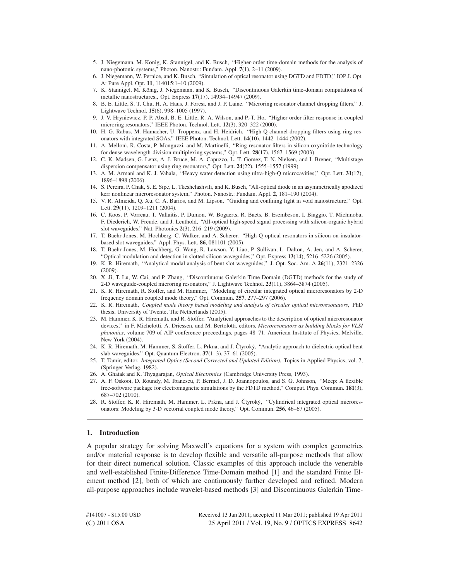- 5. J. Niegemann, M. König, K. Stannigel, and K. Busch, "Higher-order time-domain methods for the analysis of nano-photonic systems," Photon. Nanostr.: Fundam. Appl. **7**(1), 2–11 (2009).
- 6. J. Niegemann, W. Pernice, and K. Busch, "Simulation of optical resonator using DGTD and FDTD," IOP J. Opt. A: Pure Appl. Opt. **11**, 114015:1–10 (2009).
- 7. K. Stannigel, M. König, J. Niegemann, and K. Busch, "Discontinuous Galerkin time-domain computations of metallic nanostructures,, Opt. Express **17**(17), 14934–14947 (2009).
- 8. B. E. Little, S. T. Chu, H. A. Haus, J. Foresi, and J. P. Laine. "Microring resonator channel dropping filters," J. Lightwave Technol. **15**(6), 998–1005 (1997).
- 9. J. V. Hryniewicz, P. P. Absil, B. E. Little, R. A. Wilson, and P.-T. Ho, "Higher order filter response in coupled microring resonators," IEEE Photon. Technol. Lett. **12**(3), 320–322 (2000).
- 10. H. G. Rabus, M. Hamacher, U. Troppenz, and H. Heidrich, "High-Q channel-dropping filters using ring resonators with integrated SOAs," IEEE Photon. Technol. Lett. **14**(10), 1442–1444 (2002).
- 11. A. Melloni, R. Costa, P. Monguzzi, and M. Martinelli, "Ring-resonator filters in silicon oxynitride technology for dense wavelength-division multiplexing systems," Opt. Lett. **28**(17), 1567–1569 (2003).
- 12. C. K. Madsen, G. Lenz, A. J. Bruce, M. A. Capuzzo, L. T. Gomez, T. N. Nielsen, and I. Brener, "Multistage dispersion compensator using ring resonators," Opt. Lett. **24**(22), 1555–1557 (1999).
- 13. A. M. Armani and K. J. Vahala, "Heavy water detection using ultra-high-Q microcavities," Opt. Lett. **31**(12), 1896–1898 (2006).
- 14. S. Pereira, P. Chak, S. E. Sipe, L. Tkeshelashvili, and K. Busch, "All-optical diode in an asymmetrically apodized kerr nonlinear microresonator system," Photon. Nanostr.: Fundam. Appl. **2**, 181–190 (2004).
- 15. V. R. Almeida, Q. Xu, C. A. Barios, and M. Lipson, "Guiding and confining light in void nanostructure," Opt. Lett. **29**(11), 1209–1211 (2004).
- 16. C. Koos, P. Vorreau, T. Vallaitis, P. Dumon, W. Bogaerts, R. Baets, B. Esembeson, I. Biaggio, T. Michinobu, F. Diederich, W. Freude, and J. Leuthold, "All-optical high-speed signal processing with silicon-organic hybrid slot waveguides," Nat. Photonics **2**(3), 216–219 (2009).
- 17. T. Baehr-Jones, M. Hochberg, C. Walker, and A. Scherer. "High-Q optical resonators in silicon-on-insulatorbased slot waveguides," Appl. Phys. Lett. **86**, 081101 (2005).
- 18. T. Baehr-Jones, M. Hochberg, G. Wang, R. Lawson, Y. Liao, P. Sullivan, L. Dalton, A. Jen, and A. Scherer, "Optical modulation and detection in slotted silicon waveguides," Opt. Express **13**(14), 5216–5226 (2005).
- 19. K. R. Hiremath, "Analytical modal analysis of bent slot waveguides," J. Opt. Soc. Am. A **26**(11), 2321–2326  $(2009)$
- 20. X. Ji, T. Lu, W. Cai, and P. Zhang, "Discontinuous Galerkin Time Domain (DGTD) methods for the study of 2-D waveguide-coupled microring resonators," J. Lightwave Technol. **23**(11), 3864–3874 (2005).
- 21. K. R. Hiremath, R. Stoffer, and M. Hammer, "Modeling of circular integrated optical microresonators by 2-D frequency domain coupled mode theory," Opt. Commun. **257**, 277–297 (2006).
- 22. K. R. Hiremath, *Coupled mode theory based modeling and analysis of circular optical microresonators*, PhD thesis, University of Twente, The Netherlands (2005).
- 23. M. Hammer, K. R. Hiremath, and R. Stoffer, "Analytical approaches to the description of optical microresonator devices," in F. Michelotti, A. Driessen, and M. Bertolotti, editors, *Microresonators as building blocks for VLSI photonics*, volume 709 of AIP conference proceedings, pages 48–71. American Institute of Physics, Melville, New York (2004).
- 24. K. R. Hiremath, M. Hammer, S. Stoffer, L. Prkna, and J. Čtyroký, "Analytic approach to dielectric optical bent slab waveguides," Opt. Quantum Electron. **37**(1–3), 37–61 (2005).
- 25. T. Tamir, editor, *Integrated Optics (Second Corrected and Updated Edition)*, Topics in Applied Physics, vol. 7, (Springer-Verlag, 1982).
- 26. A. Ghatak and K. Thyagarajan, *Optical Electronics* (Cambridge University Press, 1993).
- 27. A. F. Oskooi, D. Roundy, M. Ibanescu, P. Bermel, J. D. Joannopoulos, and S. G. Johnson, "Meep: A flexible free-software package for electromagnetic simulations by the FDTD method," Comput. Phys. Commun. **181**(3), 687–702 (2010).
- 28. R. Stoffer, K. R. Hiremath, M. Hammer, L. Prkna, and J. Čtyroký, "Cylindrical integrated optical microresonators: Modeling by 3-D vectorial coupled mode theory," Opt. Commun. **256**, 46–67 (2005).

#### **1. Introduction**

A popular strategy for solving Maxwell's equations for a system with complex geometries and/or material response is to develop flexible and versatile all-purpose methods that allow for their direct numerical solution. Classic examples of this approach include the venerable and well-established Finite-Difference Time-Domain method [1] and the standard Finite Element method [2], both of which are continuously further developed and refined. Modern all-purpose approaches include wavelet-based methods [3] and Discontinuous Galerkin Time-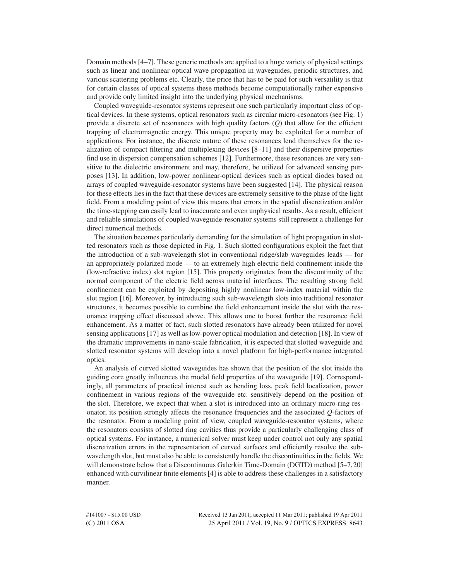Domain methods [4–7]. These generic methods are applied to a huge variety of physical settings such as linear and nonlinear optical wave propagation in waveguides, periodic structures, and various scattering problems etc. Clearly, the price that has to be paid for such versatility is that for certain classes of optical systems these methods become computationally rather expensive and provide only limited insight into the underlying physical mechanisms.

Coupled waveguide-resonator systems represent one such particularly important class of optical devices. In these systems, optical resonators such as circular micro-resonators (see Fig. 1) provide a discrete set of resonances with high quality factors (*Q*) that allow for the efficient trapping of electromagnetic energy. This unique property may be exploited for a number of applications. For instance, the discrete nature of these resonances lend themselves for the realization of compact filtering and multiplexing devices [8–11] and their dispersive properties find use in dispersion compensation schemes [12]. Furthermore, these resonances are very sensitive to the dielectric environment and may, therefore, be utilized for advanced sensing purposes [13]. In addition, low-power nonlinear-optical devices such as optical diodes based on arrays of coupled waveguide-resonator systems have been suggested [14]. The physical reason for these effects lies in the fact that these devices are extremely sensitive to the phase of the light field. From a modeling point of view this means that errors in the spatial discretization and/or the time-stepping can easily lead to inaccurate and even unphysical results. As a result, efficient and reliable simulations of coupled waveguide-resonator systems still represent a challenge for direct numerical methods.

The situation becomes particularly demanding for the simulation of light propagation in slotted resonators such as those depicted in Fig. 1. Such slotted configurations exploit the fact that the introduction of a sub-wavelength slot in conventional ridge/slab waveguides leads — for an appropriately polarized mode — to an extremely high electric field confinement inside the (low-refractive index) slot region [15]. This property originates from the discontinuity of the normal component of the electric field across material interfaces. The resulting strong field confinement can be exploited by depositing highly nonlinear low-index material within the slot region [16]. Moreover, by introducing such sub-wavelength slots into traditional resonator structures, it becomes possible to combine the field enhancement inside the slot with the resonance trapping effect discussed above. This allows one to boost further the resonance field enhancement. As a matter of fact, such slotted resonators have already been utilized for novel sensing applications [17] as well as low-power optical modulation and detection [18]. In view of the dramatic improvements in nano-scale fabrication, it is expected that slotted waveguide and slotted resonator systems will develop into a novel platform for high-performance integrated optics.

An analysis of curved slotted waveguides has shown that the position of the slot inside the guiding core greatly influences the modal field properties of the waveguide [19]. Correspondingly, all parameters of practical interest such as bending loss, peak field localization, power confinement in various regions of the waveguide etc. sensitively depend on the position of the slot. Therefore, we expect that when a slot is introduced into an ordinary micro-ring resonator, its position strongly affects the resonance frequencies and the associated *Q*-factors of the resonator. From a modeling point of view, coupled waveguide-resonator systems, where the resonators consists of slotted ring cavities thus provide a particularly challenging class of optical systems. For instance, a numerical solver must keep under control not only any spatial discretization errors in the representation of curved surfaces and efficiently resolve the subwavelength slot, but must also be able to consistently handle the discontinuities in the fields. We will demonstrate below that a Discontinuous Galerkin Time-Domain (DGTD) method [5–7,20] enhanced with curvilinear finite elements [4] is able to address these challenges in a satisfactory manner.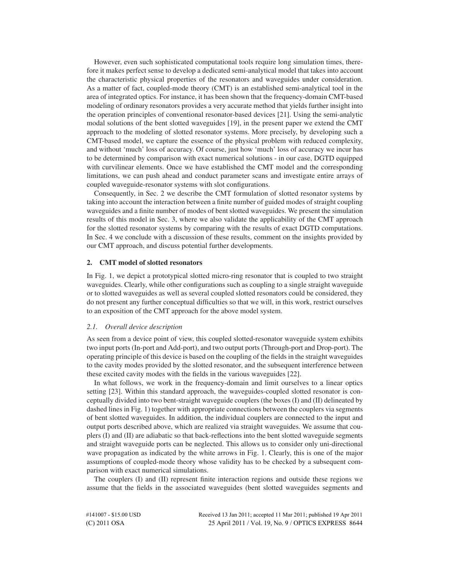However, even such sophisticated computational tools require long simulation times, therefore it makes perfect sense to develop a dedicated semi-analytical model that takes into account the characteristic physical properties of the resonators and waveguides under consideration. As a matter of fact, coupled-mode theory (CMT) is an established semi-analytical tool in the area of integrated optics. For instance, it has been shown that the frequency-domain CMT-based modeling of ordinary resonators provides a very accurate method that yields further insight into the operation principles of conventional resonator-based devices [21]. Using the semi-analytic modal solutions of the bent slotted waveguides [19], in the present paper we extend the CMT approach to the modeling of slotted resonator systems. More precisely, by developing such a CMT-based model, we capture the essence of the physical problem with reduced complexity, and without 'much' loss of accuracy. Of course, just how 'much' loss of accuracy we incur has to be determined by comparison with exact numerical solutions - in our case, DGTD equipped with curvilinear elements. Once we have established the CMT model and the corresponding limitations, we can push ahead and conduct parameter scans and investigate entire arrays of coupled waveguide-resonator systems with slot configurations.

Consequently, in Sec. 2 we describe the CMT formulation of slotted resonator systems by taking into account the interaction between a finite number of guided modes of straight coupling waveguides and a finite number of modes of bent slotted waveguides. We present the simulation results of this model in Sec. 3, where we also validate the applicability of the CMT approach for the slotted resonator systems by comparing with the results of exact DGTD computations. In Sec. 4 we conclude with a discussion of these results, comment on the insights provided by our CMT approach, and discuss potential further developments.

### **2. CMT model of slotted resonators**

In Fig. 1, we depict a prototypical slotted micro-ring resonator that is coupled to two straight waveguides. Clearly, while other configurations such as coupling to a single straight waveguide or to slotted waveguides as well as several coupled slotted resonators could be considered, they do not present any further conceptual difficulties so that we will, in this work, restrict ourselves to an exposition of the CMT approach for the above model system.

## *2.1. Overall device description*

As seen from a device point of view, this coupled slotted-resonator waveguide system exhibits two input ports (In-port and Add-port), and two output ports (Through-port and Drop-port). The operating principle of this device is based on the coupling of the fields in the straight waveguides to the cavity modes provided by the slotted resonator, and the subsequent interference between these excited cavity modes with the fields in the various waveguides [22].

In what follows, we work in the frequency-domain and limit ourselves to a linear optics setting [23]. Within this standard approach, the waveguides-coupled slotted resonator is conceptually divided into two bent-straight waveguide couplers (the boxes (I) and (II) delineated by dashed lines in Fig. 1) together with appropriate connections between the couplers via segments of bent slotted waveguides. In addition, the individual couplers are connected to the input and output ports described above, which are realized via straight waveguides. We assume that couplers (I) and (II) are adiabatic so that back-reflections into the bent slotted waveguide segments and straight waveguide ports can be neglected. This allows us to consider only uni-directional wave propagation as indicated by the white arrows in Fig. 1. Clearly, this is one of the major assumptions of coupled-mode theory whose validity has to be checked by a subsequent comparison with exact numerical simulations.

The couplers (I) and (II) represent finite interaction regions and outside these regions we assume that the fields in the associated waveguides (bent slotted waveguides segments and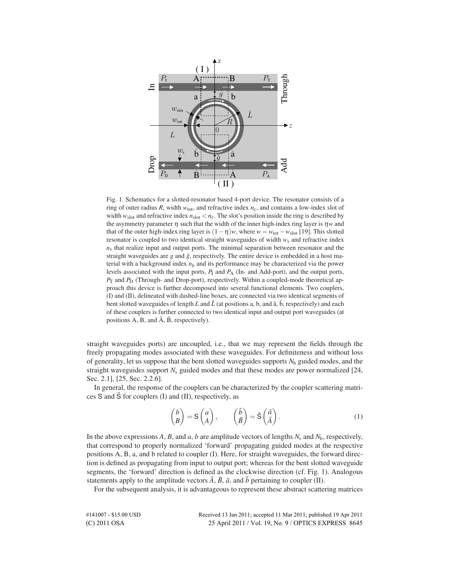

Fig. 1. Schematics for a slotted-resonator based 4-port device. The resonator consists of a ring of outer radius *R*, width *w*tot, and refractive index *n*c, and contains a low-index slot of width  $w_{\text{slot}}$  and refractive index  $n_{\text{slot}} < n_c$ . The slot's position inside the ring is described by the asymmetry parameter  $\eta$  such that the width of the inner high-index ring layer is  $\eta w$  and that of the outer high-index ring layer is  $(1 - \eta)w$ , where  $w = w_{\text{tot}} - w_{\text{slot}}$  [19]. This slotted resonator is coupled to two identical straight waveguides of width *w*s and refractive index  $n<sub>s</sub>$  that realize input and output ports. The minimal separation between resonator and the straight waveguides are  $g$  and  $\tilde{g}$ , respectively. The entire device is embedded in a host material with a background index  $n<sub>b</sub>$  and its performance may be characterized via the power levels associated with the input ports,  $P_1$  and  $P_A$  (In- and Add-port), and the output ports,  $P_T$  and  $P_D$  (Through- and Drop-port), respectively. Within a coupled-mode theoretical approach this device is further decomposed into several functional elements. Two couplers, (I) and (II), delineated with dashed-line boxes, are connected via two identical segments of bent slotted waveguides of length *L* and  $\tilde{L}$  (at positions a, b, and  $\tilde{a}$ ,  $\tilde{b}$ , respectively) and each of these couplers is further connected to two identical input and output port waveguides (at positions  $A$ ,  $B$ , and  $\tilde{A}$ ,  $\tilde{B}$ , respectively).

straight waveguides ports) are uncoupled, i.e., that we may represent the fields through the freely propagating modes associated with these waveguides. For definiteness and without loss of generality, let us suppose that the bent slotted waveguides supports *N*<sup>b</sup> guided modes, and the straight waveguides support *N*<sup>s</sup> guided modes and that these modes are power normalized [24, Sec. 2.1], [25, Sec. 2.2.6].

In general, the response of the couplers can be characterized by the coupler scattering matrices S and  $\tilde{S}$  for couplers (I) and (II), respectively, as

$$
\begin{pmatrix} b \\ B \end{pmatrix} = S \begin{pmatrix} a \\ A \end{pmatrix}, \qquad \begin{pmatrix} \tilde{b} \\ \tilde{B} \end{pmatrix} = \tilde{S} \begin{pmatrix} \tilde{a} \\ \tilde{A} \end{pmatrix}.
$$
 (1)

In the above expressions A, B, and a, b are amplitude vectors of lengths  $N_s$  and  $N_b$ , respectively, that correspond to properly normalized 'forward' propagating guided modes at the respective positions A, B, a, and b related to coupler (I). Here, for straight waveguides, the forward direction is defined as propagating from input to output port; whereas for the bent slotted waveguide segments, the 'forward' direction is defined as the clockwise direction (cf. Fig. 1). Analogous statements apply to the amplitude vectors  $\tilde{A}$ ,  $\tilde{B}$ ,  $\tilde{a}$ , and  $\tilde{b}$  pertaining to coupler (II).

For the subsequent analysis, it is advantageous to represent these abstract scattering matrices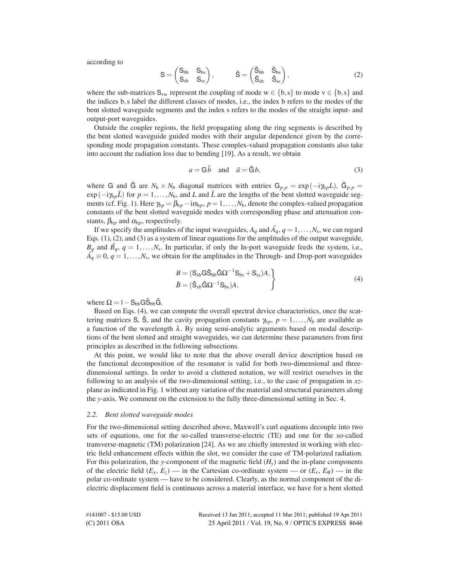according to

$$
S = \begin{pmatrix} S_{bb} & S_{bs} \\ S_{sb} & S_{ss} \end{pmatrix}, \qquad \tilde{S} = \begin{pmatrix} \tilde{S}_{bb} & \tilde{S}_{bs} \\ \tilde{S}_{sb} & \tilde{S}_{ss} \end{pmatrix}, \tag{2}
$$

where the sub-matrices  $S_{vw}$  represent the coupling of mode  $w \in \{b, s\}$  to mode  $v \in \{b, s\}$  and the indices b,s label the different classes of modes, i.e., the index b refers to the modes of the bent slotted waveguide segments and the index s refers to the modes of the straight input- and output-port waveguides.

Outside the coupler regions, the field propagating along the ring segments is described by the bent slotted waveguide guided modes with their angular dependence given by the corresponding mode propagation constants. These complex-valued propagation constants also take into account the radiation loss due to bending [19]. As a result, we obtain

$$
a = \mathbf{G}\tilde{b} \quad \text{and} \quad \tilde{a} = \tilde{\mathbf{G}}b,\tag{3}
$$

where G and  $\tilde{G}$  are  $N_b \times N_b$  diagonal matrices with entries  $G_{p,p} = \exp(-i\gamma_{bp}L)$ ,  $\tilde{G}_{p,p} =$  $\exp(-i\gamma_b L)$  for  $p = 1, \ldots, N_b$ , and *L* and *L* are the lengths of the bent slotted waveguide segments (cf. Fig. 1). Here  $\gamma_{bp} = \beta_{bp} - i\alpha_{bp}$ ,  $p = 1, \dots, N_b$ , denote the complex-valued propagation constants of the bent slotted waveguide modes with corresponding phase and attenuation constants,  $\beta_{bp}$  and  $\alpha_{bp}$ , respectively.

If we specify the amplitudes of the input waveguides,  $A_q$  and  $\tilde{A_q}$ ,  $q = 1, \ldots, N_s$ , we can regard Eqs. (1), (2), and (3) as a system of linear equations for the amplitudes of the output waveguide,  $B_q$  and  $\tilde{B_q}$ ,  $q = 1, \ldots, N_s$ . In particular, if only the In-port waveguide feeds the system, i.e.,  $\tilde{A}_q \equiv 0, q = 1, \ldots, N_s$ , we obtain for the amplitudes in the Through- and Drop-port waveguides

$$
B = (S_{sb}G\tilde{S}_{bb}\tilde{G}\Omega^{-1}S_{bs} + S_{ss})A, \tilde{B} = (\tilde{S}_{sb}\tilde{G}\Omega^{-1}S_{bs})A,
$$
\n(4)

where  $\Omega = I - S_{bb} G \tilde{S}_{bb} \tilde{G}$ .

Based on Eqs. (4), we can compute the overall spectral device characteristics, once the scattering matrices S, S, and the cavity propagation constants  $\gamma_{b,p}$ ,  $p = 1, \ldots, N_b$  are available as a function of the wavelength  $\lambda$ . By using semi-analytic arguments based on modal descriptions of the bent slotted and straight waveguides, we can determine these parameters from first principles as described in the following subsections.

At this point, we would like to note that the above overall device description based on the functional decomposition of the resonator is valid for both two-dimensional and threedimensional settings. In order to avoid a cluttered notation, we will restrict ourselves in the following to an analysis of the two-dimensional setting, i.e., to the case of propagation in *xz*plane as indicated in Fig. 1 without any variation of the material and structural parameters along the *y*-axis. We comment on the extension to the fully three-dimensional setting in Sec. 4.

#### *2.2. Bent slotted waveguide modes*

For the two-dimensional setting described above, Maxwell's curl equations decouple into two sets of equations, one for the so-called transverse-electric (TE) and one for the so-called transverse-magnetic (TM) polarization [24]. As we are chiefly interested in working with electric field enhancement effects within the slot, we consider the case of TM-polarized radiation. For this polarization, the *y*-component of the magnetic field  $(H<sub>v</sub>)$  and the in-plane components of the electric field  $(E_x, E_z)$  — in the Cartesian co-ordinate system — or  $(E_r, E_{\theta})$  — in the polar co-ordinate system — have to be considered. Clearly, as the normal component of the dielectric displacement field is continuous across a material interface, we have for a bent slotted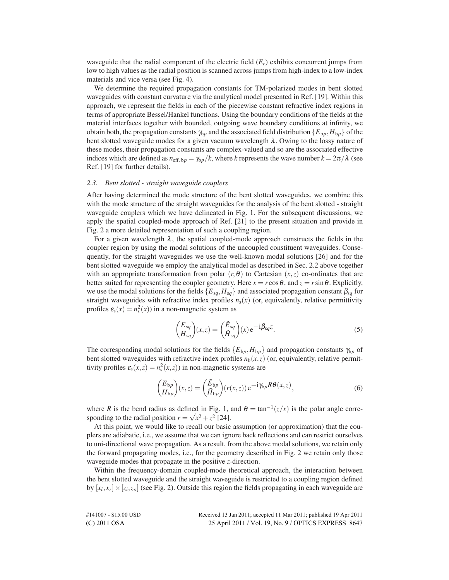waveguide that the radial component of the electric field  $(E_r)$  exhibits concurrent jumps from low to high values as the radial position is scanned across jumps from high-index to a low-index materials and vice versa (see Fig. 4).

We determine the required propagation constants for TM-polarized modes in bent slotted waveguides with constant curvature via the analytical model presented in Ref. [19]. Within this approach, we represent the fields in each of the piecewise constant refractive index regions in terms of appropriate Bessel/Hankel functions. Using the boundary conditions of the fields at the material interfaces together with bounded, outgoing wave boundary conditions at infinity, we obtain both, the propagation constants  $\gamma_{b_p}$  and the associated field distribution  $\{E_{b_p}, H_{b_p}\}$  of the bent slotted waveguide modes for a given vacuum wavelength  $\lambda$ . Owing to the lossy nature of these modes, their propagation constants are complex-valued and so are the associated effective indices which are defined as  $n_{\text{eff, bp}} = \frac{\gamma_{b} p}{k}$ , where *k* represents the wave number  $k = 2\pi/\lambda$  (see Ref. [19] for further details).

#### *2.3. Bent slotted - straight waveguide couplers*

After having determined the mode structure of the bent slotted waveguides, we combine this with the mode structure of the straight waveguides for the analysis of the bent slotted - straight waveguide couplers which we have delineated in Fig. 1. For the subsequent discussions, we apply the spatial coupled-mode approach of Ref. [21] to the present situation and provide in Fig. 2 a more detailed representation of such a coupling region.

For a given wavelength  $\lambda$ , the spatial coupled-mode approach constructs the fields in the coupler region by using the modal solutions of the uncoupled constituent waveguides. Consequently, for the straight waveguides we use the well-known modal solutions [26] and for the bent slotted waveguide we employ the analytical model as described in Sec. 2.2 above together with an appropriate transformation from polar  $(r, \theta)$  to Cartesian  $(x, z)$  co-ordinates that are better suited for representing the coupler geometry. Here  $x = r \cos \theta$ , and  $z = r \sin \theta$ . Explicitly, we use the modal solutions for the fields  ${E_{sq}, H_{sq}}$  and associated propagation constant  $\beta_{sq}$  for straight waveguides with refractive index profiles  $n<sub>s</sub>(x)$  (or, equivalently, relative permittivity profiles  $\varepsilon_{s}(x) = n_{s}^{2}(x)$ ) in a non-magnetic system as

$$
\begin{pmatrix} E_{sq} \\ H_{sq} \end{pmatrix} (x, z) = \begin{pmatrix} \tilde{E}_{sq} \\ \tilde{H}_{sq} \end{pmatrix} (x) e^{-i\beta_{sq}z}.
$$
 (5)

The corresponding modal solutions for the fields  $\{E_{bp}, H_{bp}\}$  and propagation constants  $\gamma_{bp}$  of bent slotted waveguides with refractive index profiles  $n_b(x, z)$  (or, equivalently, relative permittivity profiles  $\varepsilon_s(x, z) = n_s^2(x, z)$ ) in non-magnetic systems are

$$
\begin{pmatrix} E_{bp} \\ H_{bp} \end{pmatrix} (x, z) = \begin{pmatrix} \tilde{E}_{bp} \\ \tilde{H}_{bp} \end{pmatrix} (r(x, z)) e^{-i\gamma b} P \theta (x, z), \tag{6}
$$

where *R* is the bend radius as defined in Fig. 1, and  $\theta = \tan^{-1}(z/x)$  is the polar angle corresponding to the radial position  $r = \sqrt{x^2 + z^2}$  [24].

At this point, we would like to recall our basic assumption (or approximation) that the couplers are adiabatic, i.e., we assume that we can ignore back reflections and can restrict ourselves to uni-directional wave propagation. As a result, from the above modal solutions, we retain only the forward propagating modes, i.e., for the geometry described in Fig. 2 we retain only those waveguide modes that propagate in the positive *z*-direction.

Within the frequency-domain coupled-mode theoretical approach, the interaction between the bent slotted waveguide and the straight waveguide is restricted to a coupling region defined by  $[x_l, x_r] \times [z_l, z_o]$  (see Fig. 2). Outside this region the fields propagating in each waveguide are

| #141007 - \$15.00 USD - | Received 13 Jan 2011; accepted 11 Mar 2011; published 19 Apr 2011 |
|-------------------------|-------------------------------------------------------------------|
| (C) 2011 OSA            | 25 April 2011 / Vol. 19, No. 9 / OPTICS EXPRESS 8647              |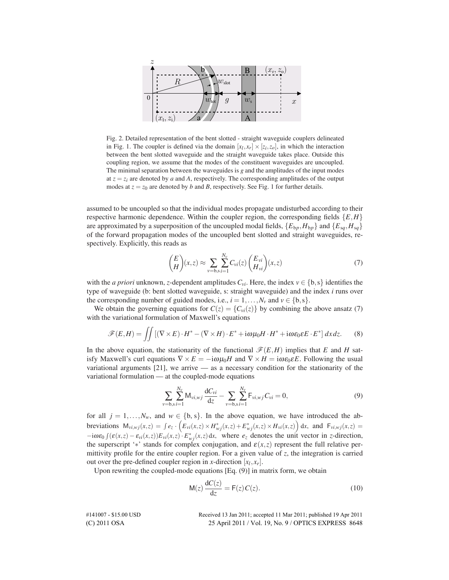

Fig. 2. Detailed representation of the bent slotted - straight waveguide couplers delineated in Fig. 1. The coupler is defined via the domain  $[x_l, x_r] \times [z_l, z_o]$ , in which the interaction between the bent slotted waveguide and the straight waveguide takes place. Outside this coupling region, we assume that the modes of the constituent waveguides are uncoupled. The minimal separation between the waveguides is  $g$  and the amplitudes of the input modes at  $z = z_i$  are denoted by *a* and *A*, respectively. The corresponding amplitudes of the output modes at  $z = z_0$  are denoted by *b* and *B*, respectively. See Fig. 1 for further details.

assumed to be uncoupled so that the individual modes propagate undisturbed according to their respective harmonic dependence. Within the coupler region, the corresponding fields  ${E,H}$ are approximated by a superposition of the uncoupled modal fields,  $\{E_{bp}, H_{bp}\}$  and  $\{E_{sq}, H_{sq}\}$ of the forward propagation modes of the uncoupled bent slotted and straight waveguides, respectively. Explicitly, this reads as

$$
\binom{E}{H}(x,z) \approx \sum_{v=b,s} \sum_{i=1}^{N_v} C_{vi}(z) \binom{E_{vi}}{H_{vi}}(x,z)
$$
\n<sup>(7)</sup>

with the *a priori* unknown, *z*-dependent amplitudes  $C_{vi}$ . Here, the index  $v \in \{b, s\}$  identifies the type of waveguide (b: bent slotted waveguide, s: straight waveguide) and the index *i* runs over the corresponding number of guided modes, i.e.,  $i = 1, \ldots, N_v$  and  $v \in \{b, s\}$ .

We obtain the governing equations for  $C(z) = \{C_{vi}(z)\}\$  by combining the above ansatz (7) with the variational formulation of Maxwell's equations

$$
\mathscr{F}(E,H) = \iint \left[ (\nabla \times E) \cdot H^* - (\nabla \times H) \cdot E^* + i\omega \mu_0 H \cdot H^* + i\omega \varepsilon_0 \varepsilon E \cdot E^* \right] dx dz. \tag{8}
$$

In the above equation, the stationarity of the functional  $\mathscr{F}(E,H)$  implies that *E* and *H* satisfy Maxwell's curl equations  $\nabla \times E = -i\omega \mu_0 H$  and  $\nabla \times H = i\omega \varepsilon_0 \varepsilon E$ . Following the usual variational arguments  $[21]$ , we arrive — as a necessary condition for the stationarity of the variational formulation — at the coupled-mode equations

$$
\sum_{v=b,s}\sum_{i=1}^{N_v} \mathsf{M}_{vi,wj} \frac{\mathrm{d}C_{vi}}{\mathrm{d}z} - \sum_{v=b,s}\sum_{i=1}^{N_v} \mathsf{F}_{vi,wj} C_{vi} = 0, \tag{9}
$$

for all  $j = 1, \ldots, N_w$ , and  $w \in \{b, s\}$ . In the above equation, we have introduced the abbreviations  $M_{vi,wj}(x, z) = \int e_z \cdot \left( E_{vi}(x, z) \times H_{wj}^*(x, z) + E_{wj}^*(x, z) \times H_{vi}(x, z) \right) dx$ , and  $F_{vi,wj}(x, z) =$  $-i\omega \varepsilon_0 \int (\varepsilon(x,z) - \varepsilon_{vi}(x,z)) E_{vi}(x,z) \cdot E_{wj}^*(x,z) dx$ , where  $e_z$  denotes the unit vector in *z*-direction, the superscript '\*' stands for complex conjugation, and  $\varepsilon(x, z)$  represent the full relative permittivity profile for the entire coupler region. For a given value of *z*, the integration is carried out over the pre-defined coupler region in *x*-direction  $[x_l, x_r]$ .

Upon rewriting the coupled-mode equations [Eq. (9)] in matrix form, we obtain

$$
M(z)\frac{dC(z)}{dz} = F(z)C(z).
$$
 (10)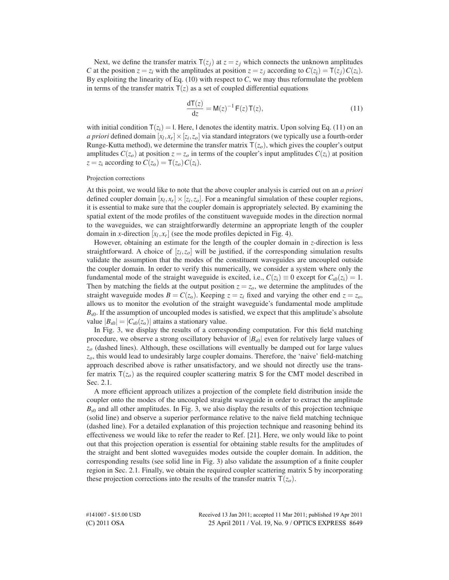Next, we define the transfer matrix  $T(z_j)$  at  $z = z_j$  which connects the unknown amplitudes *C* at the position  $z = z_i$  with the amplitudes at position  $z = z_j$  according to  $C(z_i) = \mathsf{T}(z_i)C(z_i)$ . By exploiting the linearity of Eq. (10) with respect to *C*, we may thus reformulate the problem in terms of the transfer matrix  $T(z)$  as a set of coupled differential equations

$$
\frac{\mathrm{d}\mathsf{T}(z)}{\mathrm{d}z} = \mathsf{M}(z)^{-1}\,\mathsf{F}(z)\,\mathsf{T}(z),\tag{11}
$$

with initial condition  $T(z_i) = I$ . Here, I denotes the identity matrix. Upon solving Eq. (11) on an *a priori* defined domain  $[x_l, x_r] \times [z_l, z_o]$  via standard integrators (we typically use a fourth-order Runge-Kutta method), we determine the transfer matrix  $T(z_0)$ , which gives the coupler's output amplitudes  $C(z_0)$  at position  $z = z_0$  in terms of the coupler's input amplitudes  $C(z_1)$  at position  $z = z_i$  according to  $C(z_0) = T(z_0)C(z_i)$ .

#### Projection corrections

At this point, we would like to note that the above coupler analysis is carried out on an *a priori* defined coupler domain  $[x_l, x_r] \times [z_l, z_o]$ . For a meaningful simulation of these coupler regions, it is essential to make sure that the coupler domain is appropriately selected. By examining the spatial extent of the mode profiles of the constituent waveguide modes in the direction normal to the waveguides, we can straightforwardly determine an appropriate length of the coupler domain in *x*-direction  $[x_l, x_r]$  (see the mode profiles depicted in Fig. 4).

However, obtaining an estimate for the length of the coupler domain in *z*-direction is less straightforward. A choice of  $[z_i, z_o]$  will be justified, if the corresponding simulation results validate the assumption that the modes of the constituent waveguides are uncoupled outside the coupler domain. In order to verify this numerically, we consider a system where only the fundamental mode of the straight waveguide is excited, i.e.,  $C(z_i) \equiv 0$  except for  $C_{s0}(z_i) = 1$ . Then by matching the fields at the output position  $z = z<sub>o</sub>$ , we determine the amplitudes of the straight waveguide modes  $B = C(z_0)$ . Keeping  $z = z_i$  fixed and varying the other end  $z = z_o$ , allows us to monitor the evolution of the straight waveguide's fundamental mode amplitude  $B_{s0}$ . If the assumption of uncoupled modes is satisfied, we expect that this amplitude's absolute value  $|B_{s0}| = |C_{s0}(z_0)|$  attains a stationary value.

In Fig. 3, we display the results of a corresponding computation. For this field matching procedure, we observe a strong oscillatory behavior of  $|B_{s0}|$  even for relatively large values of *z<sup>o</sup>* (dashed lines). Although, these oscillations will eventually be damped out for large values *zo*, this would lead to undesirably large coupler domains. Therefore, the 'naive' field-matching approach described above is rather unsatisfactory, and we should not directly use the transfer matrix  $T(z_0)$  as the required coupler scattering matrix S for the CMT model described in Sec. 2.1.

A more efficient approach utilizes a projection of the complete field distribution inside the coupler onto the modes of the uncoupled straight waveguide in order to extract the amplitude  $B_{s0}$  and all other amplitudes. In Fig. 3, we also display the results of this projection technique (solid line) and observe a superior performance relative to the naive field matching technique (dashed line). For a detailed explanation of this projection technique and reasoning behind its effectiveness we would like to refer the reader to Ref. [21]. Here, we only would like to point out that this projection operation is essential for obtaining stable results for the amplitudes of the straight and bent slotted waveguides modes outside the coupler domain. In addition, the corresponding results (see solid line in Fig. 3) also validate the assumption of a finite coupler region in Sec. 2.1. Finally, we obtain the required coupler scattering matrix S by incorporating these projection corrections into the results of the transfer matrix  $T(z_0)$ .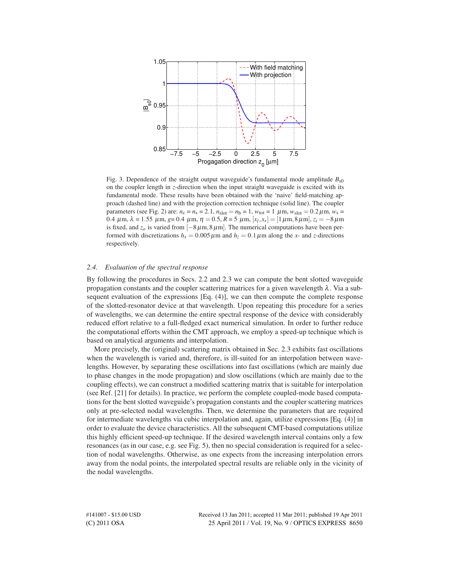

Fig. 3. Dependence of the straight output waveguide's fundamental mode amplitude  $B_{s0}$ on the coupler length in *z*-direction when the input straight waveguide is excited with its fundamental mode. These results have been obtained with the 'naive' field-matching approach (dashed line) and with the projection correction technique (solid line). The coupler parameters (see Fig. 2) are:  $n_c = n_s = 2.1$ ,  $n_{slot} = n_b = 1$ ,  $w_{tot} = 1 \mu m$ ,  $w_{slot} = 0.2 \mu m$ ,  $w_s =$ 0.4 μm, λ = 1.55 μm, *g*= 0.4 μm, η = 0.5, R = 5 μm,  $[x_l, x_r]$  = [1μm,8μm],  $z_i$  = −8μm is fixed, and  $z<sub>o</sub>$  is varied from  $[-8 \mu m, 8 \mu m]$ . The numerical computations have been performed with discretizations  $h_x = 0.005 \,\mu \text{m}$  and  $h_z = 0.1 \,\mu \text{m}$  along the *x*- and *z*-directions respectively.

## *2.4. Evaluation of the spectral response*

By following the procedures in Secs. 2.2 and 2.3 we can compute the bent slotted waveguide propagation constants and the coupler scattering matrices for a given wavelength  $\lambda$ . Via a subsequent evaluation of the expressions [Eq. (4)], we can then compute the complete response of the slotted-resonator device at that wavelength. Upon repeating this procedure for a series of wavelengths, we can determine the entire spectral response of the device with considerably reduced effort relative to a full-fledged exact numerical simulation. In order to further reduce the computational efforts within the CMT approach, we employ a speed-up technique which is based on analytical arguments and interpolation.

More precisely, the (original) scattering matrix obtained in Sec. 2.3 exhibits fast oscillations when the wavelength is varied and, therefore, is ill-suited for an interpolation between wavelengths. However, by separating these oscillations into fast oscillations (which are mainly due to phase changes in the mode propagation) and slow oscillations (which are mainly due to the coupling effects), we can construct a modified scattering matrix that is suitable for interpolation (see Ref. [21] for details). In practice, we perform the complete coupled-mode based computations for the bent slotted waveguide's propagation constants and the coupler scattering matrices only at pre-selected nodal wavelengths. Then, we determine the parameters that are required for intermediate wavelengths via cubic interpolation and, again, utilize expressions [Eq. (4)] in order to evaluate the device characteristics. All the subsequent CMT-based computations utilize this highly efficient speed-up technique. If the desired wavelength interval contains only a few resonances (as in our case, e.g. see Fig. 5), then no special consideration is required for a selection of nodal wavelengths. Otherwise, as one expects from the increasing interpolation errors away from the nodal points, the interpolated spectral results are reliable only in the vicinity of the nodal wavelengths.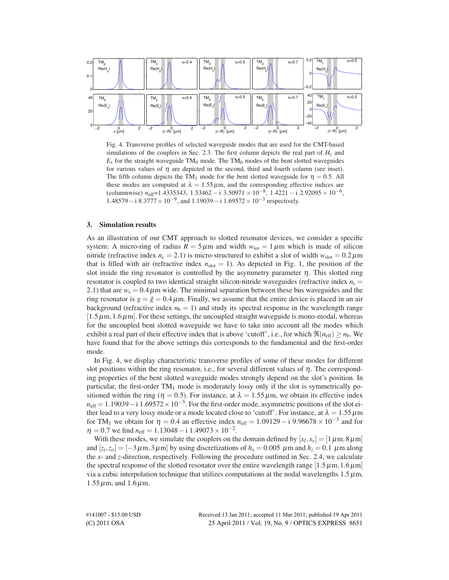

Fig. 4. Transverse profiles of selected waveguide modes that are used for the CMT-based simulations of the couplers in Sec. 2.3. The first column depicts the real part of  $H<sub>v</sub>$  and  $E<sub>x</sub>$  for the straight waveguide TM<sub>0</sub> mode. The TM<sub>0</sub> modes of the bent slotted waveguides for various values of  $\eta$  are depicted in the second, third and fourth column (see inset). The fifth column depicts the TM<sub>1</sub> mode for the bent slotted waveguide for  $\eta = 0.5$ . All these modes are computed at  $\lambda = 1.55 \,\mu\text{m}$ , and the corresponding effective indices are (columnwise)  $n_{\text{eff}}$ =1.4335343, 1.53462 − i 3.50971 × 10<sup>-8</sup>, 1.4221 − i 2.92095 × 10<sup>-6</sup>,  $1.48579 - i 8.3777 \times 10^{-9}$ , and  $1.19039 - i 1.69572 \times 10^{-3}$  respectively.

## **3. Simulation results**

As an illustration of our CMT approach to slotted resonator devices, we consider a specific system: A micro-ring of radius  $R = 5 \mu m$  and width  $w_{\text{tot}} = 1 \mu m$  which is made of silicon nitride (refractive index  $n_c = 2.1$ ) is micro-structured to exhibit a slot of width  $w_{slot} = 0.2 \,\mu\text{m}$ that is filled with air (refractive index  $n_{slot} = 1$ ). As depicted in Fig. 1, the position of the slot inside the ring resonator is controlled by the asymmetry parameter  $\eta$ . This slotted ring resonator is coupled to two identical straight silicon-nitride waveguides (refractive index  $n_s =$ 2.1) that are  $w_s = 0.4 \mu m$  wide. The minimal separation between these bus waveguides and the ring resonator is  $g = \tilde{g} = 0.4 \mu$ m. Finally, we assume that the entire device is placed in an air background (refractive index  $n<sub>b</sub> = 1$ ) and study its spectral response in the wavelength range  $[1.5\,\mu\text{m},1.6\,\mu\text{m}]$ . For these settings, the uncoupled straight waveguide is mono-modal, whereas for the uncoupled bent slotted waveguide we have to take into account all the modes which exhibit a real part of their effective index that is above 'cutoff', i.e., for which  $\Re(n_{\text{eff}}) \geq n_{\text{b}}$ . We have found that for the above settings this corresponds to the fundamental and the first-order mode.

In Fig. 4, we display characteristic transverse profiles of some of these modes for different slot positions within the ring resonator, i.e., for several different values of  $\eta$ . The corresponding properties of the bent slotted waveguide modes strongly depend on the slot's position. In particular, the first-order  $TM_1$  mode is moderately lossy only if the slot is symmetrically positioned within the ring ( $\eta = 0.5$ ). For instance, at  $\lambda = 1.55 \,\mu$ m, we obtain its effective index  $n_{\text{eff}} = 1.19039 - i \cdot 1.69572 \times 10^{-3}$ . For the first-order mode, asymmetric positions of the slot either lead to a very lossy mode or a mode located close to 'cutoff'. For instance, at  $\lambda = 1.55 \,\mu\text{m}$ for TM<sub>1</sub> we obtain for  $\eta = 0.4$  an effective index  $n_{\text{eff}} = 1.09129 - i.996678 \times 10^{-3}$  and for  $\eta = 0.7$  we find  $n_{\text{eff}} = 1.13048 - i 1.49073 \times 10^{-2}$ .

With these modes, we simulate the couplers on the domain defined by  $[x_l, x_r] = [1 \mu m, 8 \mu m]$ and  $[z_i, z_o] = [-3 \,\mu \text{m}, 3 \,\mu \text{m}]$  by using discretizations of  $h_x = 0.005 \,\mu \text{m}$  and  $h_z = 0.1 \,\mu \text{m}$  along the *x*- and *z*-direction, respectively. Following the procedure outlined in Sec. 2.4, we calculate the spectral response of the slotted resonator over the entire wavelength range  $[1.5 \mu m, 1.6 \mu m]$ via a cubic interpolation technique that utilizes computations at the nodal wavelengths  $1.5 \mu m$ ,  $1.55 \,\mu$ m, and  $1.6 \,\mu$ m.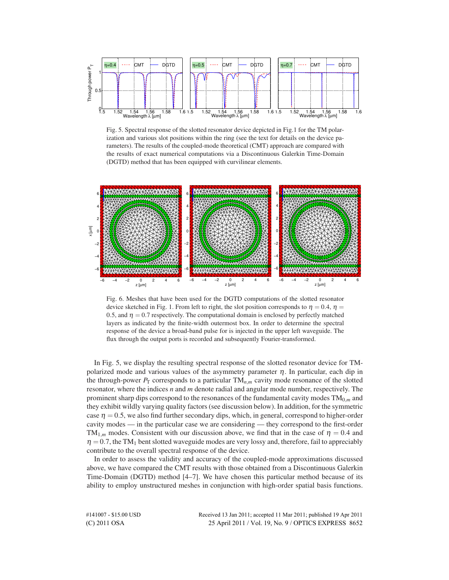

Fig. 5. Spectral response of the slotted resonator device depicted in Fig.1 for the TM polarization and various slot positions within the ring (see the text for details on the device parameters). The results of the coupled-mode theoretical (CMT) approach are compared with the results of exact numerical computations via a Discontinuous Galerkin Time-Domain (DGTD) method that has been equipped with curvilinear elements.



Fig. 6. Meshes that have been used for the DGTD computations of the slotted resonator device sketched in Fig. 1. From left to right, the slot position corresponds to  $\eta = 0.4$ ,  $\eta =$ 0.5, and  $\eta = 0.7$  respectively. The computational domain is enclosed by perfectly matched layers as indicated by the finite-width outermost box. In order to determine the spectral response of the device a broad-band pulse for is injected in the upper left waveguide. The flux through the output ports is recorded and subsequently Fourier-transformed.

In Fig. 5, we display the resulting spectral response of the slotted resonator device for TMpolarized mode and various values of the asymmetry parameter  $\eta$ . In particular, each dip in the through-power  $P_T$  corresponds to a particular  $TM_{n,m}$  cavity mode resonance of the slotted resonator, where the indices *n* and *m* denote radial and angular mode number, respectively. The prominent sharp dips correspond to the resonances of the fundamental cavity modes TM0,*<sup>m</sup>* and they exhibit wildly varying quality factors (see discussion below). In addition, for the symmetric case  $\eta = 0.5$ , we also find further secondary dips, which, in general, correspond to higher-order cavity modes — in the particular case we are considering — they correspond to the first-order TM<sub>1,*m*</sub> modes. Consistent with our discussion above, we find that in the case of  $\eta = 0.4$  and  $\eta = 0.7$ , the TM<sub>1</sub> bent slotted waveguide modes are very lossy and, therefore, fail to appreciably contribute to the overall spectral response of the device.

In order to assess the validity and accuracy of the coupled-mode approximations discussed above, we have compared the CMT results with those obtained from a Discontinuous Galerkin Time-Domain (DGTD) method [4–7]. We have chosen this particular method because of its ability to employ unstructured meshes in conjunction with high-order spatial basis functions.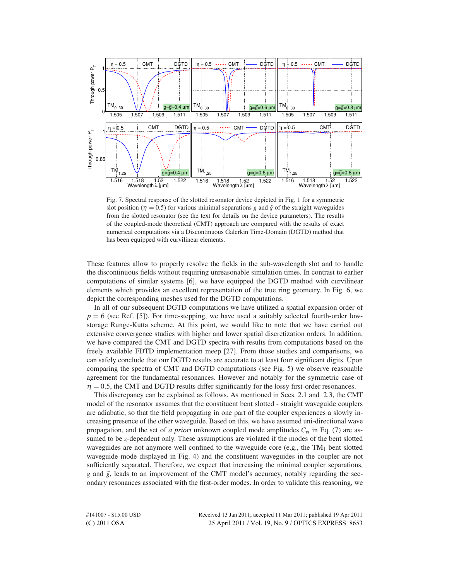

Fig. 7. Spectral response of the slotted resonator device depicted in Fig. 1 for a symmetric slot position ( $\eta = 0.5$ ) for various minimal separations *g* and  $\tilde{g}$  of the straight waveguides from the slotted resonator (see the text for details on the device parameters). The results of the coupled-mode theoretical (CMT) approach are compared with the results of exact numerical computations via a Discontinuous Galerkin Time-Domain (DGTD) method that has been equipped with curvilinear elements.

These features allow to properly resolve the fields in the sub-wavelength slot and to handle the discontinuous fields without requiring unreasonable simulation times. In contrast to earlier computations of similar systems [6], we have equipped the DGTD method with curvilinear elements which provides an excellent representation of the true ring geometry. In Fig. 6, we depict the corresponding meshes used for the DGTD computations.

In all of our subsequent DGTD computations we have utilized a spatial expansion order of  $p = 6$  (see Ref. [5]). For time-stepping, we have used a suitably selected fourth-order lowstorage Runge-Kutta scheme. At this point, we would like to note that we have carried out extensive convergence studies with higher and lower spatial discretization orders. In addition, we have compared the CMT and DGTD spectra with results from computations based on the freely available FDTD implementation meep [27]. From those studies and comparisons, we can safely conclude that our DGTD results are accurate to at least four significant digits. Upon comparing the spectra of CMT and DGTD computations (see Fig. 5) we observe reasonable agreement for the fundamental resonances. However and notably for the symmetric case of  $\eta = 0.5$ , the CMT and DGTD results differ significantly for the lossy first-order resonances.

This discrepancy can be explained as follows. As mentioned in Secs. 2.1 and 2.3, the CMT model of the resonator assumes that the constituent bent slotted - straight waveguide couplers are adiabatic, so that the field propagating in one part of the coupler experiences a slowly increasing presence of the other waveguide. Based on this, we have assumed uni-directional wave propagation, and the set of *a priori* unknown coupled mode amplitudes *Cvi* in Eq. (7) are assumed to be *z*-dependent only. These assumptions are violated if the modes of the bent slotted waveguides are not anymore well confined to the waveguide core (e.g., the  $TM_1$  bent slotted waveguide mode displayed in Fig. 4) and the constituent waveguides in the coupler are not sufficiently separated. Therefore, we expect that increasing the minimal coupler separations, *g* and  $\tilde{g}$ , leads to an improvement of the CMT model's accuracy, notably regarding the secondary resonances associated with the first-order modes. In order to validate this reasoning, we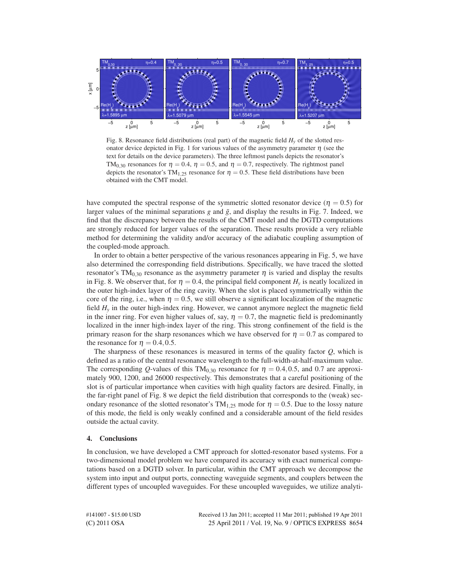

Fig. 8. Resonance field distributions (real part) of the magnetic field  $H<sub>v</sub>$  of the slotted resonator device depicted in Fig. 1 for various values of the asymmetry parameter  $\eta$  (see the text for details on the device parameters). The three leftmost panels depicts the resonator's TM<sub>0,30</sub> resonances for  $\eta = 0.4$ ,  $\eta = 0.5$ , and  $\eta = 0.7$ , respectively. The rightmost panel depicts the resonator's TM<sub>1,25</sub> resonance for  $\eta = 0.5$ . These field distributions have been obtained with the CMT model.

have computed the spectral response of the symmetric slotted resonator device ( $\eta = 0.5$ ) for larger values of the minimal separations  $g$  and  $\tilde{g}$ , and display the results in Fig. 7. Indeed, we find that the discrepancy between the results of the CMT model and the DGTD computations are strongly reduced for larger values of the separation. These results provide a very reliable method for determining the validity and/or accuracy of the adiabatic coupling assumption of the coupled-mode approach.

In order to obtain a better perspective of the various resonances appearing in Fig. 5, we have also determined the corresponding field distributions. Specifically, we have traced the slotted resonator's TM<sub>0,30</sub> resonance as the asymmetry parameter  $\eta$  is varied and display the results in Fig. 8. We observer that, for  $\eta = 0.4$ , the principal field component  $H<sub>v</sub>$  is neatly localized in the outer high-index layer of the ring cavity. When the slot is placed symmetrically within the core of the ring, i.e., when  $\eta = 0.5$ , we still observe a significant localization of the magnetic field  $H<sub>v</sub>$  in the outer high-index ring. However, we cannot anymore neglect the magnetic field in the inner ring. For even higher values of, say,  $\eta = 0.7$ , the magnetic field is predominantly localized in the inner high-index layer of the ring. This strong confinement of the field is the primary reason for the sharp resonances which we have observed for  $\eta = 0.7$  as compared to the resonance for  $\eta = 0.4, 0.5$ .

The sharpness of these resonances is measured in terms of the quality factor *Q*, which is defined as a ratio of the central resonance wavelength to the full-width-at-half-maximum value. The corresponding *Q*-values of this TM<sub>0.30</sub> resonance for  $\eta = 0.4, 0.5$ , and 0.7 are approximately 900, 1200, and 26000 respectively. This demonstrates that a careful positioning of the slot is of particular importance when cavities with high quality factors are desired. Finally, in the far-right panel of Fig. 8 we depict the field distribution that corresponds to the (weak) secondary resonance of the slotted resonator's  $TM_{1,25}$  mode for  $\eta = 0.5$ . Due to the lossy nature of this mode, the field is only weakly confined and a considerable amount of the field resides outside the actual cavity.

#### **4. Conclusions**

In conclusion, we have developed a CMT approach for slotted-resonator based systems. For a two-dimensional model problem we have compared its accuracy with exact numerical computations based on a DGTD solver. In particular, within the CMT approach we decompose the system into input and output ports, connecting waveguide segments, and couplers between the different types of uncoupled waveguides. For these uncoupled waveguides, we utilize analyti-